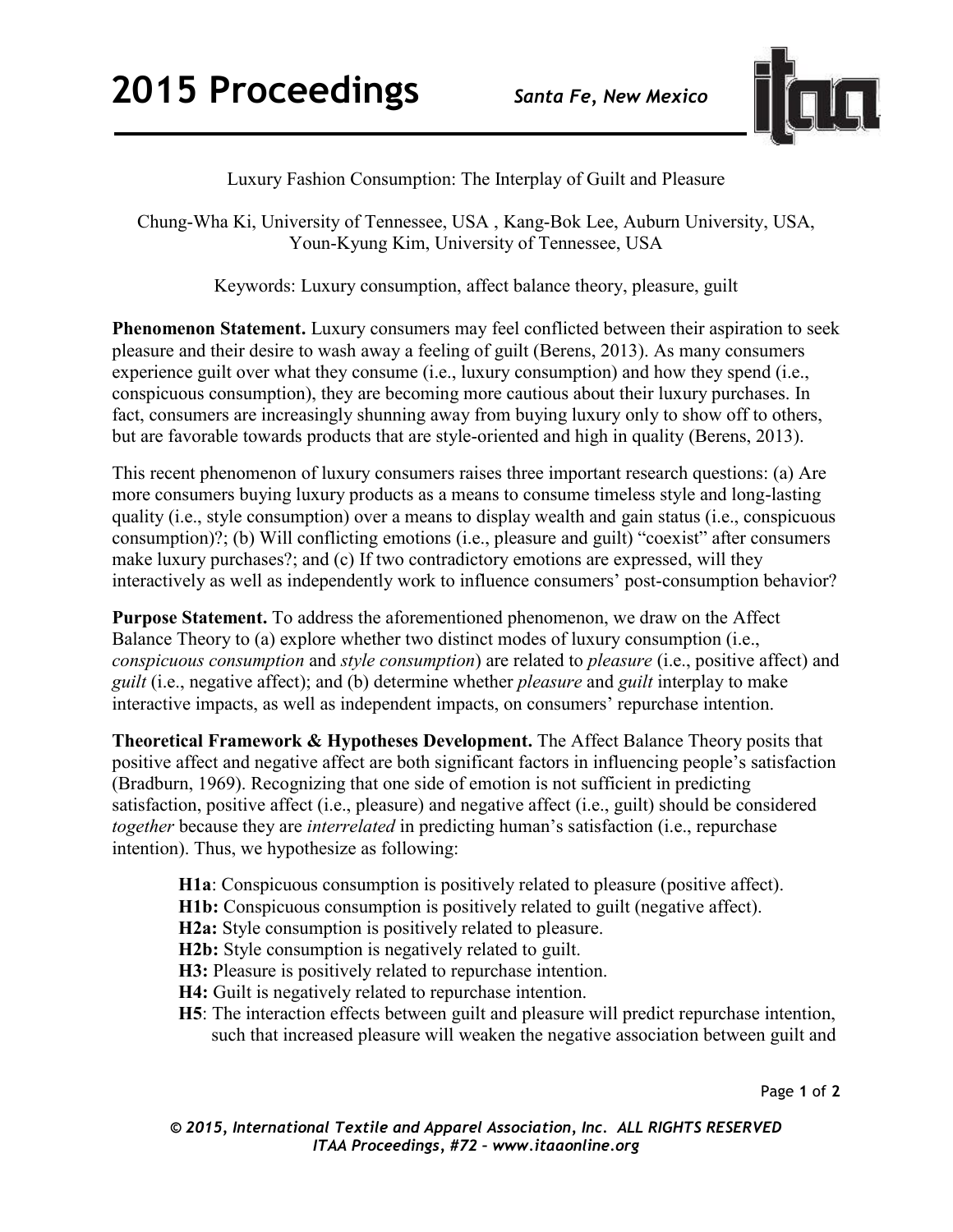

## Luxury Fashion Consumption: The Interplay of Guilt and Pleasure

Chung-Wha Ki, University of Tennessee, USA , Kang-Bok Lee, Auburn University, USA, Youn-Kyung Kim, University of Tennessee, USA

Keywords: Luxury consumption, affect balance theory, pleasure, guilt

**Phenomenon Statement.** Luxury consumers may feel conflicted between their aspiration to seek pleasure and their desire to wash away a feeling of guilt (Berens, 2013). As many consumers experience guilt over what they consume (i.e., luxury consumption) and how they spend (i.e., conspicuous consumption), they are becoming more cautious about their luxury purchases. In fact, consumers are increasingly shunning away from buying luxury only to show off to others, but are favorable towards products that are style-oriented and high in quality (Berens, 2013).

This recent phenomenon of luxury consumers raises three important research questions: (a) Are more consumers buying luxury products as a means to consume timeless style and long-lasting quality (i.e., style consumption) over a means to display wealth and gain status (i.e., conspicuous consumption)?; (b) Will conflicting emotions (i.e., pleasure and guilt) "coexist" after consumers make luxury purchases?; and (c) If two contradictory emotions are expressed, will they interactively as well as independently work to influence consumers' post-consumption behavior?

**Purpose Statement.** To address the aforementioned phenomenon, we draw on the Affect Balance Theory to (a) explore whether two distinct modes of luxury consumption (i.e., *conspicuous consumption* and *style consumption*) are related to *pleasure* (i.e., positive affect) and *guilt* (i.e., negative affect); and (b) determine whether *pleasure* and *guilt* interplay to make interactive impacts, as well as independent impacts, on consumers' repurchase intention.

**Theoretical Framework & Hypotheses Development.** The Affect Balance Theory posits that positive affect and negative affect are both significant factors in influencing people's satisfaction (Bradburn, 1969). Recognizing that one side of emotion is not sufficient in predicting satisfaction, positive affect (i.e., pleasure) and negative affect (i.e., guilt) should be considered *together* because they are *interrelated* in predicting human's satisfaction (i.e., repurchase intention). Thus, we hypothesize as following:

- **H1a**: Conspicuous consumption is positively related to pleasure (positive affect).
- **H1b:** Conspicuous consumption is positively related to guilt (negative affect).
- **H2a:** Style consumption is positively related to pleasure.
- **H2b:** Style consumption is negatively related to guilt.
- **H3:** Pleasure is positively related to repurchase intention.
- **H4:** Guilt is negatively related to repurchase intention.
- **H5**: The interaction effects between guilt and pleasure will predict repurchase intention, such that increased pleasure will weaken the negative association between guilt and

Page **1** of **2** 

*© 2015, International Textile and Apparel Association, Inc. ALL RIGHTS RESERVED ITAA Proceedings, #72 – www.itaaonline.org*